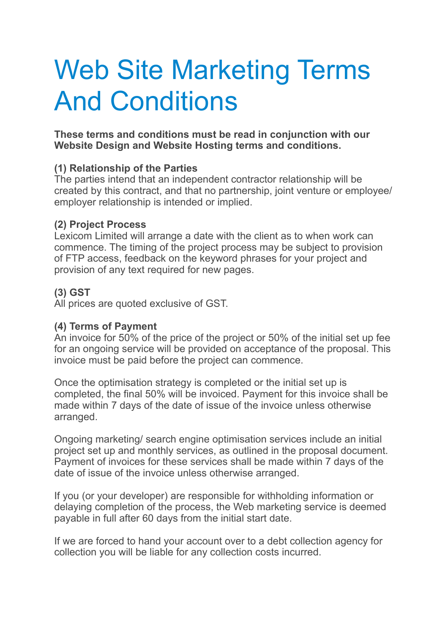# Web Site Marketing Terms And Conditions

**These terms and conditions must be read in conjunction with our Website Design and Website Hosting terms and conditions.**

# **(1) Relationship of the Parties**

The parties intend that an independent contractor relationship will be created by this contract, and that no partnership, joint venture or employee/ employer relationship is intended or implied.

#### **(2) Project Process**

Lexicom Limited will arrange a date with the client as to when work can commence. The timing of the project process may be subject to provision of FTP access, feedback on the keyword phrases for your project and provision of any text required for new pages.

# **(3) GST**

All prices are quoted exclusive of GST.

#### **(4) Terms of Payment**

An invoice for 50% of the price of the project or 50% of the initial set up fee for an ongoing service will be provided on acceptance of the proposal. This invoice must be paid before the project can commence.

Once the optimisation strategy is completed or the initial set up is completed, the final 50% will be invoiced. Payment for this invoice shall be made within 7 days of the date of issue of the invoice unless otherwise arranged.

Ongoing marketing/ search engine optimisation services include an initial project set up and monthly services, as outlined in the proposal document. Payment of invoices for these services shall be made within 7 days of the date of issue of the invoice unless otherwise arranged.

If you (or your developer) are responsible for withholding information or delaying completion of the process, the Web marketing service is deemed payable in full after 60 days from the initial start date.

If we are forced to hand your account over to a debt collection agency for collection you will be liable for any collection costs incurred.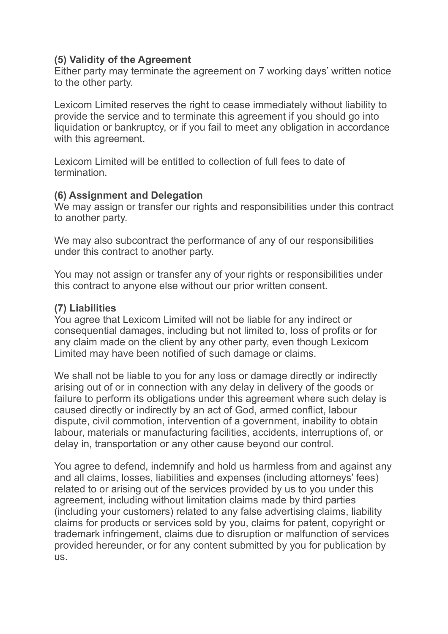#### **(5) Validity of the Agreement**

Either party may terminate the agreement on 7 working days' written notice to the other party.

Lexicom Limited reserves the right to cease immediately without liability to provide the service and to terminate this agreement if you should go into liquidation or bankruptcy, or if you fail to meet any obligation in accordance with this agreement.

Lexicom Limited will be entitled to collection of full fees to date of termination.

#### **(6) Assignment and Delegation**

We may assign or transfer our rights and responsibilities under this contract to another party.

We may also subcontract the performance of any of our responsibilities under this contract to another party.

You may not assign or transfer any of your rights or responsibilities under this contract to anyone else without our prior written consent.

## **(7) Liabilities**

You agree that Lexicom Limited will not be liable for any indirect or consequential damages, including but not limited to, loss of profits or for any claim made on the client by any other party, even though Lexicom Limited may have been notified of such damage or claims.

We shall not be liable to you for any loss or damage directly or indirectly arising out of or in connection with any delay in delivery of the goods or failure to perform its obligations under this agreement where such delay is caused directly or indirectly by an act of God, armed conflict, labour dispute, civil commotion, intervention of a government, inability to obtain labour, materials or manufacturing facilities, accidents, interruptions of, or delay in, transportation or any other cause beyond our control.

You agree to defend, indemnify and hold us harmless from and against any and all claims, losses, liabilities and expenses (including attorneys' fees) related to or arising out of the services provided by us to you under this agreement, including without limitation claims made by third parties (including your customers) related to any false advertising claims, liability claims for products or services sold by you, claims for patent, copyright or trademark infringement, claims due to disruption or malfunction of services provided hereunder, or for any content submitted by you for publication by us.